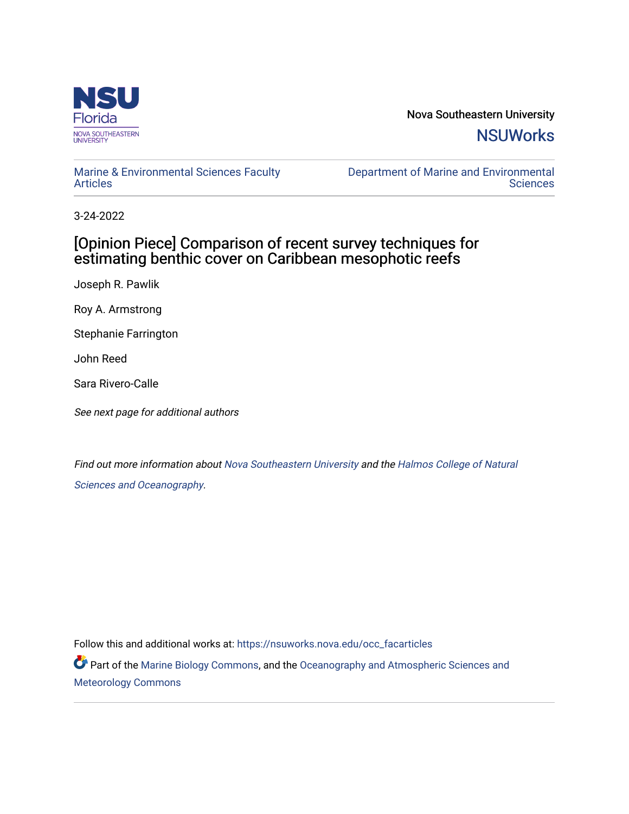

Nova Southeastern University **NSUWorks** 

### [Marine & Environmental Sciences Faculty](https://nsuworks.nova.edu/occ_facarticles)  [Articles](https://nsuworks.nova.edu/occ_facarticles)

[Department of Marine and Environmental](https://nsuworks.nova.edu/cnso_mes)  **Sciences** 

3-24-2022

## [Opinion Piece] Comparison of recent survey techniques for estimating benthic cover on Caribbean mesophotic reefs

Joseph R. Pawlik

Roy A. Armstrong

Stephanie Farrington

John Reed

Sara Rivero-Calle

See next page for additional authors

Find out more information about [Nova Southeastern University](http://www.nova.edu/) and the [Halmos College of Natural](https://cnso.nova.edu/)  [Sciences and Oceanography](https://cnso.nova.edu/).

Follow this and additional works at: [https://nsuworks.nova.edu/occ\\_facarticles](https://nsuworks.nova.edu/occ_facarticles?utm_source=nsuworks.nova.edu%2Focc_facarticles%2F1245&utm_medium=PDF&utm_campaign=PDFCoverPages)

Part of the [Marine Biology Commons,](http://network.bepress.com/hgg/discipline/1126?utm_source=nsuworks.nova.edu%2Focc_facarticles%2F1245&utm_medium=PDF&utm_campaign=PDFCoverPages) and the [Oceanography and Atmospheric Sciences and](http://network.bepress.com/hgg/discipline/186?utm_source=nsuworks.nova.edu%2Focc_facarticles%2F1245&utm_medium=PDF&utm_campaign=PDFCoverPages) [Meteorology Commons](http://network.bepress.com/hgg/discipline/186?utm_source=nsuworks.nova.edu%2Focc_facarticles%2F1245&utm_medium=PDF&utm_campaign=PDFCoverPages)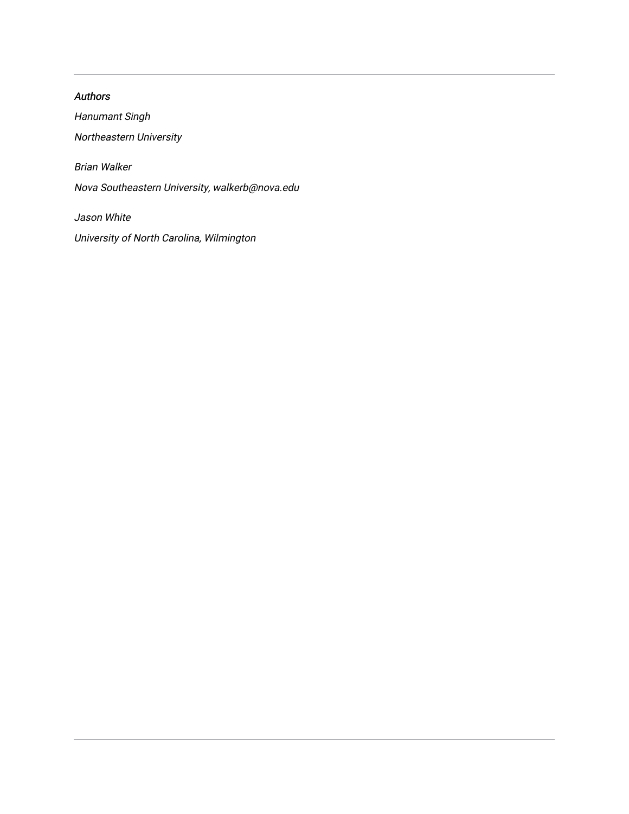Authors Hanumant Singh Northeastern University Brian Walker Nova Southeastern University, walkerb@nova.edu Jason White University of North Carolina, Wilmington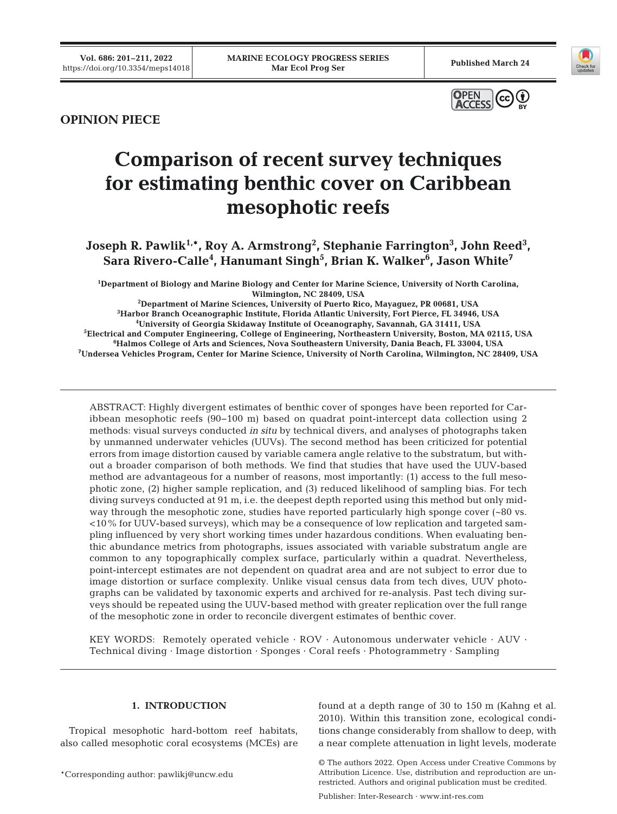





# **Comparison of recent survey techniques for estimating benthic cover on Caribbean mesophotic reefs**

Joseph R. Pawlik<sup>1,\*</sup>, Roy A. Armstrong<sup>2</sup>, Stephanie Farrington<sup>3</sup>, John Reed<sup>3</sup>, **Sara Rivero-Calle4 , Hanumant Singh5 , Brian K. Walker6 , Jason White7** 

**1 Department of Biology and Marine Biology and Center for Marine Science, University of North Carolina,**  Wilmington, NC 28409, USA<br><sup>2</sup>Department of Marine Sciences, University of Puerto Rico, Mayaquez, PR 00681, USA

**Department of Marine Sciences, University of Puerto Rico, Mayaguez, PR 00681, USA 3 Harbor Branch Oceanographic Institute, Florida Atlantic University, Fort Pierce, FL 34946, USA 4 University of Georgia Skidaway Institute of Oceanography, Savannah, GA 31411, USA 5 Electrical and Computer Engineering, College of Engineering, Northeastern University, Boston, MA 02115, USA 6** <sup>6</sup>Halmos College of Arts and Sciences, Nova Southeastern University, Dania Beach, FL 33004, USA **Undersea Vehicles Program, Center for Marine Science, University of North Carolina, Wilmington, NC 28409, USA**

ABSTRACT: Highly divergent estimates of benthic cover of sponges have been reported for Caribbean mesophotic reefs (90−100 m) based on quadrat point-intercept data collection using 2 methods: visual surveys conducted *in situ* by technical divers, and analyses of photographs taken by unmanned underwater vehicles (UUVs). The second method has been criticized for potential errors from image distortion caused by variable camera angle relative to the substratum, but without a broader comparison of both methods. We find that studies that have used the UUV-based method are advantageous for a number of reasons, most importantly: (1) access to the full mesophotic zone, (2) higher sample replication, and (3) reduced likelihood of sampling bias. For tech diving surveys conducted at 91 m, i.e. the deepest depth reported using this method but only midway through the mesophotic zone, studies have reported particularly high sponge cover (~80 vs. <10% for UUV-based surveys), which may be a consequence of low replication and targeted sampling influenced by very short working times under hazardous conditions. When evaluating benthic abundance metrics from photographs, issues associated with variable substratum angle are common to any topographically complex surface, particularly within a quadrat. Nevertheless, point-intercept estimates are not dependent on quadrat area and are not subject to error due to image distortion or surface complexity. Unlike visual census data from tech dives, UUV photographs can be validated by taxonomic experts and archived for re-analysis. Past tech diving surveys should be repeated using the UUV-based method with greater replication over the full range of the mesophotic zone in order to reconcile divergent estimates of benthic cover.

KEY WORDS: Remotely operated vehicle · ROV · Autonomous underwater vehicle · AUV · Technical diving · Image distortion · Sponges · Coral reefs · Photogrammetry · Sampling

#### **1. INTRODUCTION**

Tropical mesophotic hard-bottom reef habitats, also called mesophotic coral ecosystems (MCEs) are

\*Corresponding author: pawlikj@uncw.edu

found at a depth range of 30 to 150 m (Kahng et al. 2010). Within this transition zone, ecological conditions change considerably from shallow to deep, with a near complete attenuation in light levels, moderate

<sup>©</sup> The authors 2022. Open Access under Creative Commons by Attribution Licence. Use, distribution and reproduction are unrestricted. Authors and original publication must be credited.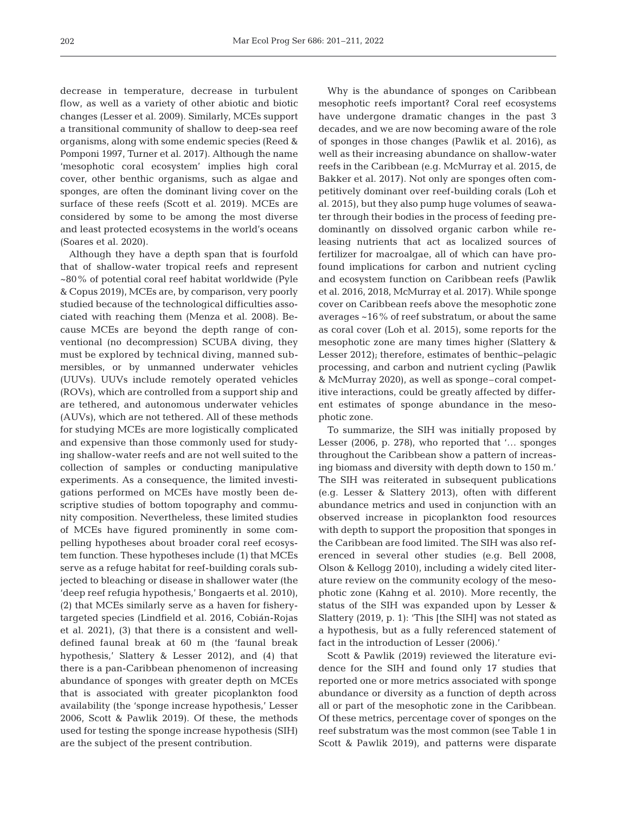decrease in temperature, decrease in turbulent flow, as well as a variety of other abiotic and biotic changes (Lesser et al. 2009). Similarly, MCEs support a transitional community of shallow to deep-sea reef organisms, along with some endemic species (Reed & Pomponi 1997, Turner et al. 2017). Although the name 'mesophotic coral ecosystem' implies high coral cover, other benthic organisms, such as algae and sponges, are often the dominant living cover on the surface of these reefs (Scott et al. 2019). MCEs are considered by some to be among the most diverse and least protected ecosystems in the world's oceans (Soares et al. 2020).

Although they have a depth span that is fourfold that of shallow-water tropical reefs and represent ~80% of potential coral reef habitat worldwide (Pyle & Copus 2019), MCEs are, by comparison, very poorly studied because of the technological difficulties associated with reaching them (Menza et al. 2008). Be cause MCEs are beyond the depth range of conventional (no decompression) SCUBA diving, they must be explored by technical diving, manned submersibles, or by unmanned underwater vehicles (UUVs). UUVs include remotely operated vehicles (ROVs), which are controlled from a support ship and are tethered, and autonomous underwater vehicles (AUVs), which are not tethered. All of these methods for studying MCEs are more logistically complicated and expensive than those commonly used for studying shallow-water reefs and are not well suited to the collection of samples or conducting manipulative experiments. As a consequence, the limited investigations performed on MCEs have mostly been de scriptive studies of bottom topography and community composition. Nevertheless, these limited studies of MCEs have figured prominently in some compelling hypotheses about broader coral reef ecosystem function. These hypotheses include (1) that MCEs serve as a refuge habitat for reef-building corals subjected to bleaching or disease in shallower water (the 'deep reef refugia hypothesis,' Bongaerts et al. 2010), (2) that MCEs similarly serve as a haven for fisherytargeted species (Lindfield et al. 2016, Cobián-Rojas et al. 2021), (3) that there is a consistent and welldefined faunal break at 60 m (the 'faunal break hypothesis,' Slattery & Lesser 2012), and (4) that there is a pan-Caribbean phenomenon of increasing abundance of sponges with greater depth on MCEs that is associated with greater picoplankton food availability (the 'sponge increase hypothesis,' Lesser 2006, Scott & Pawlik 2019). Of these, the methods used for testing the sponge increase hypothesis (SIH) are the subject of the present contribution.

Why is the abundance of sponges on Caribbean mesophotic reefs important? Coral reef ecosystems have undergone dramatic changes in the past 3 decades, and we are now becoming aware of the role of sponges in those changes (Pawlik et al. 2016), as well as their increasing abundance on shallow-water reefs in the Caribbean (e.g. McMurray et al. 2015, de Bakker et al. 2017). Not only are sponges often competitively dominant over reef-building corals (Loh et al. 2015), but they also pump huge volumes of seawater through their bodies in the process of feeding predominantly on dissolved organic carbon while releasing nutrients that act as localized sources of fertilizer for macroalgae, all of which can have profound implications for carbon and nutrient cycling and ecosystem function on Caribbean reefs (Pawlik et al. 2016, 2018, McMurray et al. 2017). While sponge cover on Caribbean reefs above the mesophotic zone averages ~16% of reef substratum, or about the same as coral cover (Loh et al. 2015), some reports for the mesophotic zone are many times higher (Slattery & Lesser 2012); therefore, estimates of benthic−pelagic processing, and carbon and nutrient cycling (Pawlik & McMurray 2020), as well as sponge–coral competitive interactions, could be greatly affected by different estimates of sponge abundance in the mesophotic zone.

To summarize, the SIH was initially proposed by Lesser (2006, p. 278), who reported that '… sponges throughout the Caribbean show a pattern of increasing biomass and diversity with depth down to 150 m.' The SIH was reiterated in subsequent publications (e.g. Lesser & Slattery 2013), often with different abundance metrics and used in conjunction with an observed increase in picoplankton food resources with depth to support the proposition that sponges in the Caribbean are food limited. The SIH was also referenced in several other studies (e.g. Bell 2008, Olson & Kellogg 2010), including a widely cited literature review on the community ecology of the mesophotic zone (Kahng et al. 2010). More recently, the status of the SIH was expanded upon by Lesser & Slattery (2019, p. 1): 'This [the SIH] was not stated as a hypothesis, but as a fully referenced statement of fact in the introduction of Lesser (2006).'

Scott & Pawlik (2019) reviewed the literature evidence for the SIH and found only 17 studies that reported one or more metrics associated with sponge abundance or diversity as a function of depth across all or part of the mesophotic zone in the Caribbean. Of these metrics, percentage cover of sponges on the reef substratum was the most common (see Table 1 in Scott & Pawlik 2019), and patterns were disparate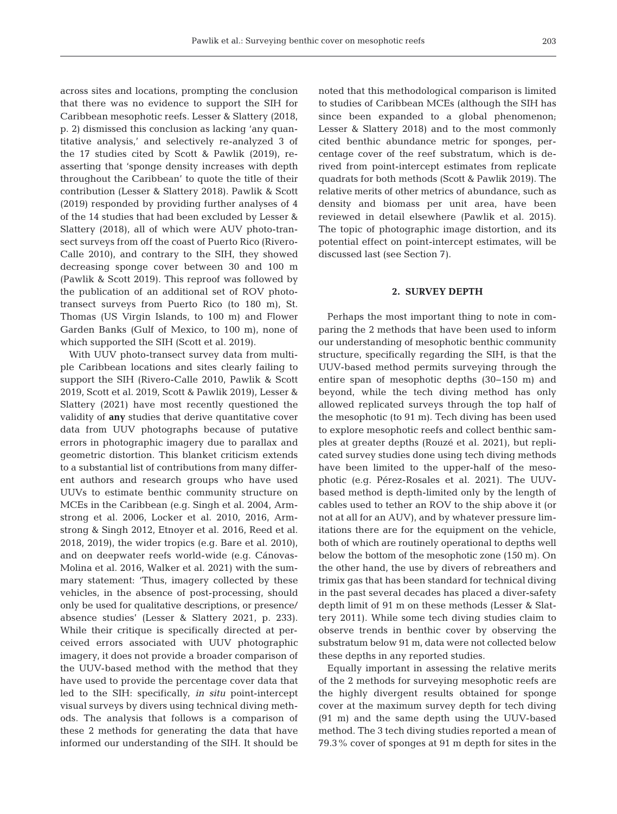across sites and locations, prompting the conclusion that there was no evidence to support the SIH for Caribbean mesophotic reefs. Lesser & Slattery (2018, p. 2) dismissed this conclusion as lacking 'any quantitative analysis,' and selectively re-analyzed 3 of the 17 studies cited by Scott & Pawlik (2019), reasserting that 'sponge density increases with depth throughout the Caribbean' to quote the title of their contribution (Lesser & Slattery 2018). Pawlik & Scott (2019) responded by providing further analyses of 4 of the 14 studies that had been excluded by Lesser & Slattery (2018), all of which were AUV photo-transect surveys from off the coast of Puerto Rico (Rivero-Calle 2010), and contrary to the SIH, they showed decreasing sponge cover between 30 and 100 m (Pawlik & Scott 2019). This reproof was followed by the publication of an additional set of ROV phototransect surveys from Puerto Rico (to 180 m), St. Thomas (US Virgin Islands, to 100 m) and Flower Garden Banks (Gulf of Mexico, to 100 m), none of which supported the SIH (Scott et al. 2019).

With UUV photo-transect survey data from multiple Caribbean locations and sites clearly failing to support the SIH (Rivero-Calle 2010, Pawlik & Scott 2019, Scott et al. 2019, Scott & Pawlik 2019), Lesser & Slattery (2021) have most recently questioned the validity of **any** studies that derive quantitative cover data from UUV photographs because of putative errors in photographic imagery due to parallax and geometric distortion. This blanket criticism extends to a substantial list of contributions from many different authors and research groups who have used UUVs to estimate benthic community structure on MCEs in the Caribbean (e.g. Singh et al. 2004, Armstrong et al. 2006, Locker et al. 2010, 2016, Armstrong & Singh 2012, Etnoyer et al. 2016, Reed et al. 2018, 2019), the wider tropics (e.g. Bare et al. 2010), and on deepwater reefs world-wide (e.g. Cánovas-Molina et al. 2016, Walker et al. 2021) with the summary statement: 'Thus, imagery collected by these vehicles, in the absence of post-processing, should only be used for qualitative descriptions, or presence/ absence studies' (Lesser & Slattery 2021, p. 233). While their critique is specifically directed at perceived errors associated with UUV photographic imagery, it does not provide a broader comparison of the UUV-based method with the method that they have used to provide the percentage cover data that led to the SIH: specifically, *in situ* point-intercept visual surveys by divers using technical diving methods. The analysis that follows is a comparison of these 2 methods for generating the data that have informed our understanding of the SIH. It should be

noted that this methodological comparison is limited to studies of Caribbean MCEs (although the SIH has since been expanded to a global phenomenon; Lesser & Slattery 2018) and to the most commonly cited benthic abundance metric for sponges, per centage cover of the reef substratum, which is de rived from point-intercept estimates from replicate quadrats for both methods (Scott & Pawlik 2019). The relative merits of other metrics of abundance, such as density and biomass per unit area, have been reviewed in detail elsewhere (Pawlik et al. 2015). The topic of photographic image distortion, and its potential effect on point-intercept estimates, will be discussed last (see Section 7).

#### **2. SURVEY DEPTH**

Perhaps the most important thing to note in comparing the 2 methods that have been used to inform our understanding of mesophotic benthic community structure, specifically regarding the SIH, is that the UUV-based method permits surveying through the entire span of mesophotic depths (30−150 m) and beyond, while the tech diving method has only allowed replicated surveys through the top half of the mesophotic (to 91 m). Tech diving has been used to explore mesophotic reefs and collect benthic samples at greater depths (Rouzé et al. 2021), but replicated survey studies done using tech diving methods have been limited to the upper-half of the mesophotic (e.g. Pérez-Rosales et al. 2021). The UUVbased method is depth-limited only by the length of cables used to tether an ROV to the ship above it (or not at all for an AUV), and by whatever pressure limitations there are for the equipment on the vehicle, both of which are routinely operational to depths well below the bottom of the mesophotic zone (150 m). On the other hand, the use by divers of rebreathers and trimix gas that has been standard for technical diving in the past several decades has placed a diver-safety depth limit of 91 m on these methods (Lesser & Slattery 2011). While some tech diving studies claim to observe trends in benthic cover by observing the substratum below 91 m, data were not collected below these depths in any reported studies.

Equally important in assessing the relative merits of the 2 methods for surveying mesophotic reefs are the highly divergent results obtained for sponge cover at the maximum survey depth for tech diving (91 m) and the same depth using the UUV-based method. The 3 tech diving studies reported a mean of 79.3% cover of sponges at 91 m depth for sites in the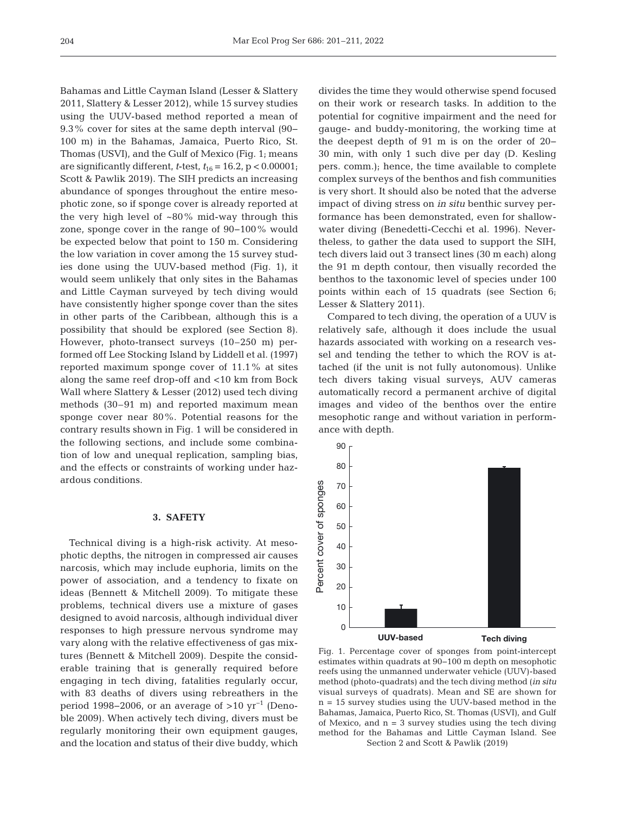Bahamas and Little Cayman Island (Lesser & Slattery 2011, Slattery & Lesser 2012), while 15 survey studies using the UUV-based method reported a mean of 9.3% cover for sites at the same depth interval (90− 100 m) in the Bahamas, Jamaica, Puerto Rico, St. Thomas (USVI), and the Gulf of Mexico (Fig. 1; means are significantly different, *t*-test,  $t_{16} = 16.2$ ,  $p < 0.00001$ ; Scott & Pawlik 2019). The SIH predicts an increasing abundance of sponges throughout the entire mesophotic zone, so if sponge cover is already reported at the very high level of  $~80\%$  mid-way through this zone, sponge cover in the range of 90−100% would be expected below that point to 150 m. Considering the low variation in cover among the 15 survey studies done using the UUV-based method (Fig. 1), it would seem unlikely that only sites in the Bahamas and Little Cayman surveyed by tech diving would have consistently higher sponge cover than the sites in other parts of the Caribbean, although this is a possibility that should be explored (see Section 8). However, photo-transect surveys (10–250 m) performed off Lee Stocking Island by Liddell et al. (1997) reported maximum sponge cover of 11.1% at sites along the same reef drop-off and <10 km from Bock Wall where Slattery & Lesser (2012) used tech diving methods (30–91 m) and reported maximum mean sponge cover near 80%. Potential reasons for the contrary results shown in Fig. 1 will be considered in the following sections, and include some combination of low and unequal replication, sampling bias, and the effects or constraints of working under hazardous conditions.

#### **3. SAFETY**

Technical diving is a high-risk activity. At mesophotic depths, the nitrogen in compressed air causes narcosis, which may include euphoria, limits on the power of association, and a tendency to fixate on ideas (Bennett & Mitchell 2009). To mitigate these problems, technical divers use a mixture of gases designed to avoid narcosis, although individual diver responses to high pressure nervous syndrome may vary along with the relative effectiveness of gas mixtures (Bennett & Mitchell 2009). Despite the considerable training that is generally required before engaging in tech diving, fatalities regularly occur, with 83 deaths of divers using rebreathers in the period 1998–2006, or an average of >10  $\text{yr}^{-1}$  (Denoble 2009). When actively tech diving, divers must be regularly monitoring their own equipment gauges, and the location and status of their dive buddy, which divides the time they would otherwise spend focused on their work or research tasks. In addition to the potential for cognitive impairment and the need for gauge- and buddy-monitoring, the working time at the deepest depth of 91 m is on the order of 20− 30 min, with only 1 such dive per day (D. Kesling pers. comm.); hence, the time available to complete complex surveys of the benthos and fish communities is very short. It should also be noted that the adverse impact of diving stress on *in situ* benthic survey performance has been demonstrated, even for shallowwater diving (Benedetti-Cecchi et al. 1996). Nevertheless, to gather the data used to support the SIH, tech divers laid out 3 transect lines (30 m each) along the 91 m depth contour, then visually recorded the benthos to the taxonomic level of species under 100 points within each of 15 quadrats (see Section 6; Lesser & Slattery 2011).

Compared to tech diving, the operation of a UUV is relatively safe, although it does include the usual hazards associated with working on a research vessel and tending the tether to which the ROV is attached (if the unit is not fully autonomous). Unlike tech divers taking visual surveys, AUV cameras automatically record a permanent archive of digital images and video of the benthos over the entire mesophotic range and without variation in performance with depth.



Fig. 1. Percentage cover of sponges from point-intercept estimates within quadrats at 90−100 m depth on mesophotic reefs using the unmanned underwater vehicle (UUV)-based method (photo-quadrats) and the tech diving method (*in situ* visual surveys of quadrats). Mean and SE are shown for n = 15 survey studies using the UUV-based method in the Bahamas, Jamaica, Puerto Rico, St. Thomas (USVI), and Gulf of Mexico, and  $n = 3$  survey studies using the tech diving method for the Bahamas and Little Cayman Island. See Section 2 and Scott & Pawlik (2019)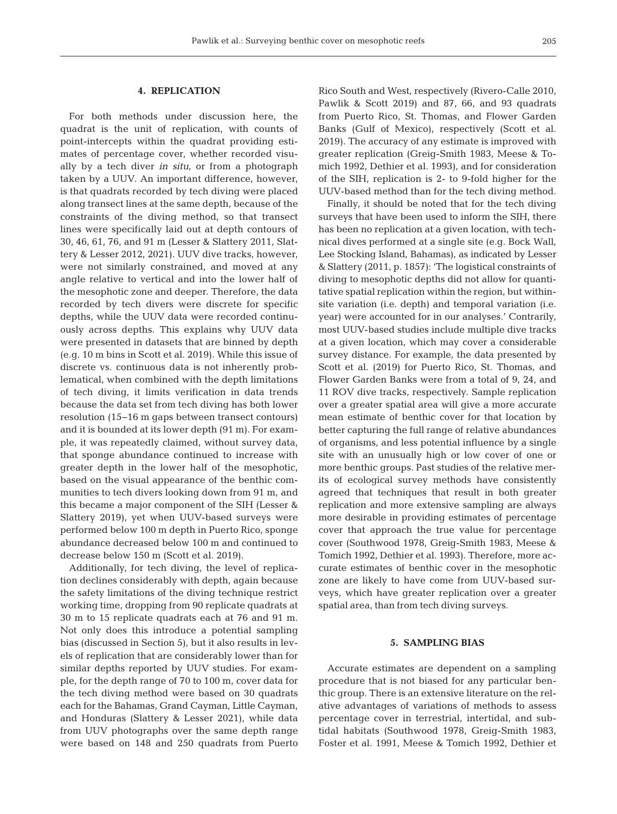#### **4. REPLICATION**

For both methods under discussion here, the quadrat is the unit of replication, with counts of point-intercepts within the quadrat providing estimates of percentage cover, whether recorded visually by a tech diver *in situ*, or from a photograph taken by a UUV. An important difference, however, is that quadrats recorded by tech diving were placed along transect lines at the same depth, because of the constraints of the diving method, so that transect lines were specifically laid out at depth contours of 30, 46, 61, 76, and 91 m (Lesser & Slattery 2011, Slattery & Lesser 2012, 2021). UUV dive tracks, however, were not similarly constrained, and moved at any angle relative to vertical and into the lower half of the mesophotic zone and deeper. Therefore, the data recorded by tech divers were discrete for specific depths, while the UUV data were recorded continuously across depths. This explains why UUV data were presented in datasets that are binned by depth (e.g. 10 m bins in Scott et al. 2019). While this issue of discrete vs. continuous data is not inherently problematical, when combined with the depth limitations of tech diving, it limits verification in data trends because the data set from tech diving has both lower resolution (15−16 m gaps between transect contours) and it is bounded at its lower depth (91 m). For example, it was repeatedly claimed, without survey data, that sponge abundance continued to increase with greater depth in the lower half of the mesophotic, based on the visual appearance of the benthic communities to tech divers looking down from 91 m, and this became a major component of the SIH (Lesser & Slattery 2019), yet when UUV-based surveys were performed below 100 m depth in Puerto Rico, sponge abundance decreased below 100 m and continued to decrease below 150 m (Scott et al. 2019).

Additionally, for tech diving, the level of replication declines considerably with depth, again because the safety limitations of the diving technique restrict working time, dropping from 90 replicate quadrats at 30 m to 15 replicate quadrats each at 76 and 91 m. Not only does this introduce a potential sampling bias (discussed in Section 5), but it also results in levels of replication that are considerably lower than for similar depths reported by UUV studies. For example, for the depth range of 70 to 100 m, cover data for the tech diving method were based on 30 quadrats each for the Bahamas, Grand Cayman, Little Cayman, and Honduras (Slattery & Lesser 2021), while data from UUV photographs over the same depth range were based on 148 and 250 quadrats from Puerto

Rico South and West, respectively (Rivero-Calle 2010, Pawlik & Scott 2019) and 87, 66, and 93 quadrats from Puerto Rico, St. Thomas, and Flower Garden Banks (Gulf of Mexico), respectively (Scott et al. 2019). The accuracy of any estimate is improved with greater replication (Greig-Smith 1983, Meese & To mich 1992, Dethier et al. 1993), and for consideration of the SIH, replication is 2- to 9-fold higher for the UUV-based method than for the tech diving method.

Finally, it should be noted that for the tech diving surveys that have been used to inform the SIH, there has been no replication at a given location, with technical dives performed at a single site (e.g. Bock Wall, Lee Stocking Island, Bahamas), as indicated by Lesser & Slattery (2011, p. 1857): 'The logistical constraints of diving to mesophotic depths did not allow for quantitative spatial replication within the region, but withinsite variation (i.e. depth) and temporal variation (i.e. year) were accounted for in our analyses.' Contrarily, most UUV-based studies include multiple dive tracks at a given location, which may cover a considerable survey distance. For example, the data presented by Scott et al. (2019) for Puerto Rico, St. Thomas, and Flower Garden Banks were from a total of 9, 24, and 11 ROV dive tracks, respectively. Sample replication over a greater spatial area will give a more accurate mean estimate of benthic cover for that location by better capturing the full range of relative abundances of organisms, and less potential influence by a single site with an unusually high or low cover of one or more benthic groups. Past studies of the relative merits of ecological survey methods have consistently agreed that techniques that result in both greater replication and more extensive sampling are always more desirable in providing estimates of percentage cover that approach the true value for percentage cover (Southwood 1978, Greig-Smith 1983, Meese & Tomich 1992, Dethier et al. 1993). Therefore, more accurate estimates of benthic cover in the mesophotic zone are likely to have come from UUV-based surveys, which have greater replication over a greater spatial area, than from tech diving surveys.

#### **5. SAMPLING BIAS**

Accurate estimates are dependent on a sampling procedure that is not biased for any particular benthic group. There is an extensive literature on the relative advantages of variations of methods to assess percentage cover in terrestrial, intertidal, and subtidal habitats (Southwood 1978, Greig-Smith 1983, Foster et al. 1991, Meese & Tomich 1992, Dethier et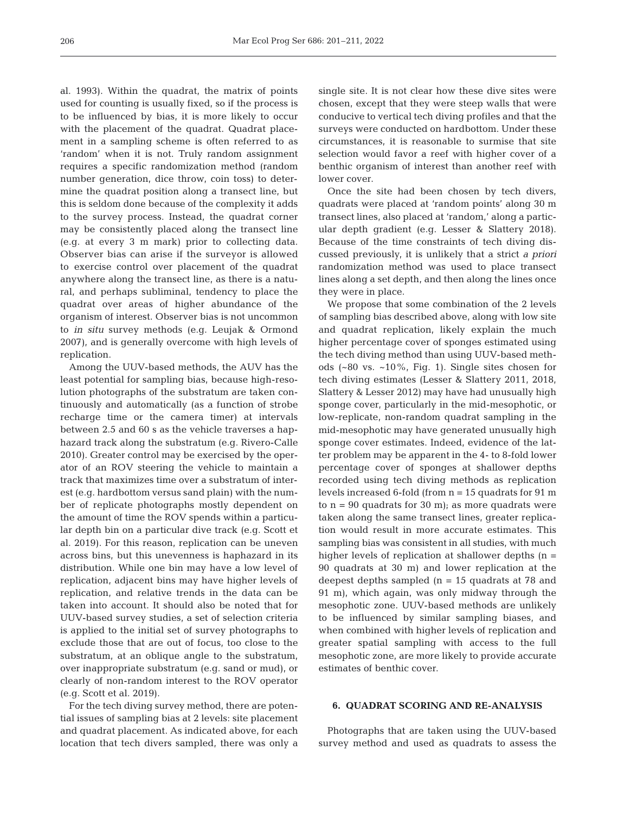al. 1993). Within the quadrat, the matrix of points used for counting is usually fixed, so if the process is to be influenced by bias, it is more likely to occur with the placement of the quadrat. Quadrat placement in a sampling scheme is often referred to as 'random' when it is not. Truly random assignment requires a specific randomization method (random number generation, dice throw, coin toss) to determine the quadrat position along a transect line, but this is seldom done because of the complexity it adds to the survey process. Instead, the quadrat corner may be consistently placed along the transect line (e.g. at every 3 m mark) prior to collecting data. Observer bias can arise if the surveyor is allowed to exercise control over placement of the quadrat anywhere along the transect line, as there is a natural, and perhaps subliminal, tendency to place the quadrat over areas of higher abundance of the organism of interest. Observer bias is not uncommon to *in situ* survey methods (e.g. Leujak & Ormond 2007), and is generally overcome with high levels of replication.

Among the UUV-based methods, the AUV has the least potential for sampling bias, because high-resolution photographs of the substratum are taken continuously and automatically (as a function of strobe recharge time or the camera timer) at intervals between 2.5 and 60 s as the vehicle traverses a haphazard track along the substratum (e.g. Rivero-Calle 2010). Greater control may be exercised by the operator of an ROV steering the vehicle to maintain a track that maximizes time over a substratum of interest (e.g. hardbottom versus sand plain) with the number of replicate photographs mostly dependent on the amount of time the ROV spends within a particular depth bin on a particular dive track (e.g. Scott et al. 2019). For this reason, replication can be uneven across bins, but this unevenness is haphazard in its distribution. While one bin may have a low level of replication, adjacent bins may have higher levels of replication, and relative trends in the data can be taken into account. It should also be noted that for UUV-based survey studies, a set of selection criteria is applied to the initial set of survey photographs to exclude those that are out of focus, too close to the substratum, at an oblique angle to the substratum, over inappropriate substratum (e.g. sand or mud), or clearly of non-random interest to the ROV operator (e.g. Scott et al. 2019).

For the tech diving survey method, there are potential issues of sampling bias at 2 levels: site placement and quadrat placement. As indicated above, for each location that tech divers sampled, there was only a

single site. It is not clear how these dive sites were chosen, except that they were steep walls that were conducive to vertical tech diving profiles and that the surveys were conducted on hardbottom. Under these circumstances, it is reasonable to surmise that site selection would favor a reef with higher cover of a benthic organism of interest than another reef with lower cover.

Once the site had been chosen by tech divers, quadrats were placed at 'random points' along 30 m transect lines, also placed at 'random,' along a particular depth gradient (e.g. Lesser & Slattery 2018). Because of the time constraints of tech diving discussed previously, it is unlikely that a strict *a priori* randomization method was used to place transect lines along a set depth, and then along the lines once they were in place.

We propose that some combination of the 2 levels of sampling bias described above, along with low site and quadrat replication, likely explain the much higher percentage cover of sponges estimated using the tech diving method than using UUV-based methods (~80 vs. ~10%, Fig. 1). Single sites chosen for tech diving estimates (Lesser & Slattery 2011, 2018, Slattery & Lesser 2012) may have had unusually high sponge cover, particularly in the mid-mesophotic, or low-replicate, non-random quadrat sampling in the mid-mesophotic may have generated unusually high sponge cover estimates. Indeed, evidence of the latter problem may be apparent in the 4- to 8-fold lower percentage cover of sponges at shallower depths recorded using tech diving methods as replication levels increased 6-fold (from  $n = 15$  quadrats for 91 m to  $n = 90$  quadrats for 30 m); as more quadrats were taken along the same transect lines, greater replication would result in more accurate estimates. This sampling bias was consistent in all studies, with much higher levels of replication at shallower depths  $(n =$ 90 quadrats at 30 m) and lower replication at the deepest depths sampled (n = 15 quadrats at 78 and 91 m), which again, was only midway through the mesophotic zone. UUV-based methods are unlikely to be influenced by similar sampling biases, and when combined with higher levels of replication and greater spatial sampling with access to the full mesophotic zone, are more likely to provide accurate estimates of benthic cover.

#### **6. QUADRAT SCORING AND RE-ANALYSIS**

Photographs that are taken using the UUV-based survey method and used as quadrats to assess the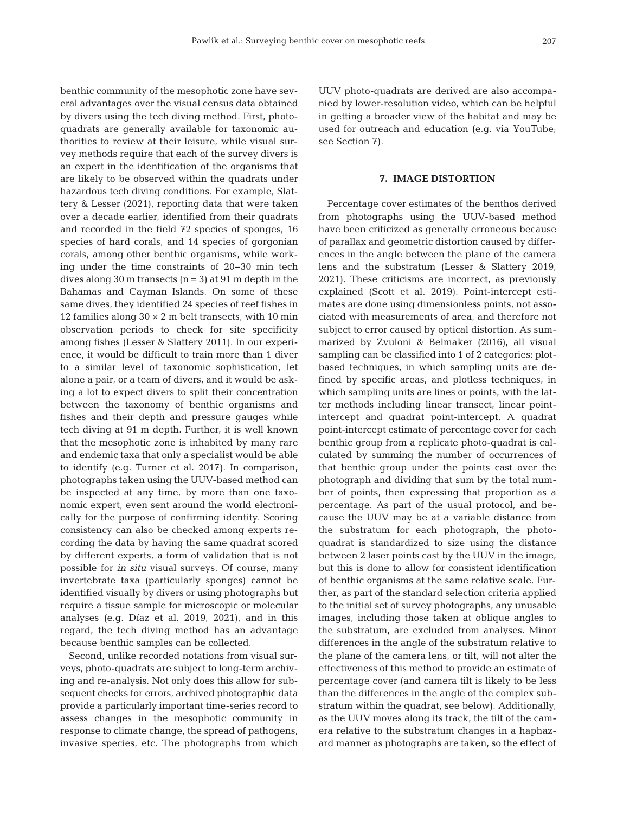benthic community of the mesophotic zone have several advantages over the visual census data obtained by divers using the tech diving method. First, photoquadrats are generally available for taxonomic au thorities to review at their leisure, while visual survey methods require that each of the survey divers is an expert in the identification of the organisms that are likely to be observed within the quadrats under hazardous tech diving conditions. For example, Slattery & Lesser (2021), reporting data that were taken over a decade earlier, identified from their quadrats and recorded in the field 72 species of sponges, 16 species of hard corals, and 14 species of gorgonian corals, among other benthic organisms, while working under the time constraints of 20−30 min tech dives along 30 m transects  $(n = 3)$  at 91 m depth in the Bahamas and Cayman Islands. On some of these same dives, they identified 24 species of reef fishes in 12 families along  $30 \times 2$  m belt transects, with 10 min observation periods to check for site specificity among fishes (Lesser & Slattery 2011). In our experience, it would be difficult to train more than 1 diver to a similar level of taxonomic sophistication, let alone a pair, or a team of divers, and it would be asking a lot to expect divers to split their concentration between the taxonomy of benthic organisms and fishes and their depth and pressure gauges while tech diving at 91 m depth. Further, it is well known that the mesophotic zone is inhabited by many rare and endemic taxa that only a specialist would be able to identify (e.g. Turner et al. 2017). In comparison, photographs taken using the UUV-based method can be inspected at any time, by more than one taxonomic expert, even sent around the world electronically for the purpose of confirming identity. Scoring consistency can also be checked among experts re cording the data by having the same quadrat scored by different experts, a form of validation that is not possible for *in situ* visual surveys. Of course, many invertebrate taxa (particularly sponges) cannot be identified visually by divers or using photographs but require a tissue sample for microscopic or molecular analyses (e.g. Díaz et al. 2019, 2021), and in this regard, the tech diving method has an advantage because benthic samples can be collected.

Second, unlike recorded notations from visual surveys, photo-quadrats are subject to long-term archiving and re-analysis. Not only does this allow for subsequent checks for errors, archived photographic data provide a particularly important time-series record to assess changes in the mesophotic community in response to climate change, the spread of pathogens, invasive species, etc. The photographs from which

UUV photo-quadrats are derived are also accompanied by lower-resolution video, which can be helpful in getting a broader view of the habitat and may be used for outreach and education (e.g. via YouTube; see Section 7).

#### **7. IMAGE DISTORTION**

Percentage cover estimates of the benthos derived from photographs using the UUV-based method have been criticized as generally erroneous because of parallax and geometric distortion caused by differences in the angle between the plane of the camera lens and the substratum (Lesser & Slattery 2019, 2021). These criticisms are incorrect, as previously explained (Scott et al. 2019). Point-intercept estimates are done using dimensionless points, not associated with measurements of area, and therefore not subject to error caused by optical distortion. As summarized by Zvuloni & Belmaker (2016), all visual sampling can be classified into 1 of 2 categories: plotbased techniques, in which sampling units are de fined by specific areas, and plotless techniques, in which sampling units are lines or points, with the latter methods including linear transect, linear pointintercept and quadrat point-intercept. A quadrat point-intercept estimate of percentage cover for each benthic group from a replicate photo-quadrat is calculated by summing the number of occurrences of that benthic group under the points cast over the photograph and dividing that sum by the total number of points, then expressing that proportion as a percentage. As part of the usual protocol, and because the UUV may be at a variable distance from the substratum for each photograph, the photoquadrat is standardized to size using the distance between 2 laser points cast by the UUV in the image, but this is done to allow for consistent identification of benthic organisms at the same relative scale. Further, as part of the standard selection criteria applied to the initial set of survey photographs, any unusable images, including those taken at oblique angles to the substratum, are excluded from analyses. Minor differences in the angle of the substratum relative to the plane of the camera lens, or tilt, will not alter the effectiveness of this method to provide an estimate of percentage cover (and camera tilt is likely to be less than the differences in the angle of the complex substratum within the quadrat, see below). Additionally, as the UUV moves along its track, the tilt of the camera relative to the substratum changes in a haphazard manner as photographs are taken, so the effect of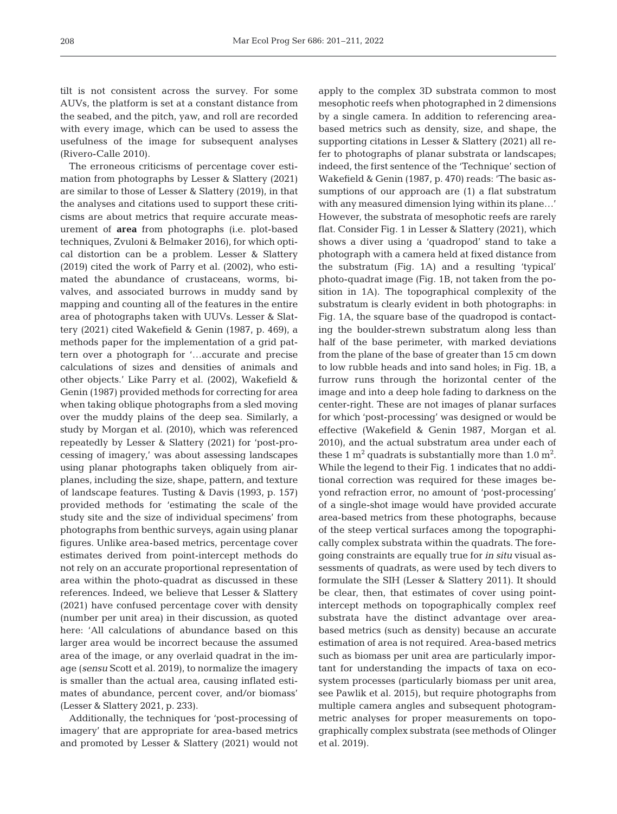tilt is not consistent across the survey. For some AUVs, the platform is set at a constant distance from the seabed, and the pitch, yaw, and roll are recorded with every image, which can be used to assess the usefulness of the image for subsequent analyses (Rivero-Calle 2010).

The erroneous criticisms of percentage cover estimation from photographs by Lesser & Slattery (2021) are similar to those of Lesser & Slattery (2019), in that the analyses and citations used to support these criticisms are about metrics that require accurate measurement of **area** from photographs (i.e. plot-based techniques, Zvuloni & Belmaker 2016), for which optical distortion can be a problem. Lesser & Slattery (2019) cited the work of Parry et al. (2002), who estimated the abundance of crustaceans, worms, bivalves, and associated burrows in muddy sand by mapping and counting all of the features in the entire area of photographs taken with UUVs. Lesser & Slattery (2021) cited Wakefield & Genin (1987, p. 469), a methods paper for the implementation of a grid pattern over a photograph for '…accurate and precise calculations of sizes and densities of animals and other objects.' Like Parry et al. (2002), Wakefield & Genin (1987) provided methods for correcting for area when taking oblique photographs from a sled moving over the muddy plains of the deep sea. Similarly, a study by Morgan et al. (2010), which was referenced repeatedly by Lesser & Slattery (2021) for 'post-processing of imagery,' was about assessing landscapes using planar photographs taken obliquely from airplanes, including the size, shape, pattern, and texture of landscape features. Tusting & Davis (1993, p. 157) provided methods for 'estimating the scale of the study site and the size of individual specimens' from photographs from benthic surveys, again using planar figures. Unlike area-based metrics, percentage cover estimates derived from point-intercept methods do not rely on an accurate proportional representation of area within the photo-quadrat as discussed in these references. Indeed, we believe that Lesser & Slattery (2021) have confused percentage cover with density (number per unit area) in their discussion, as quoted here: 'All calculations of abundance based on this larger area would be incorrect because the assumed area of the image, or any overlaid quadrat in the image (*sensu* Scott et al. 2019), to normalize the imagery is smaller than the actual area, causing inflated estimates of abundance, percent cover, and/or biomass' (Lesser & Slattery 2021, p. 233).

Additionally, the techniques for 'post-processing of imagery' that are appropriate for area-based metrics and promoted by Lesser & Slattery (2021) would not apply to the complex 3D substrata common to most mesophotic reefs when photographed in 2 dimensions by a single camera. In addition to referencing areabased metrics such as density, size, and shape, the supporting citations in Lesser & Slattery (2021) all refer to photographs of planar substrata or landscapes; indeed, the first sentence of the 'Technique' section of Wakefield & Genin (1987, p. 470) reads: 'The basic assumptions of our approach are (1) a flat substratum with any measured dimension lying within its plane…' However, the substrata of mesophotic reefs are rarely flat. Consider Fig. 1 in Lesser & Slattery (2021), which shows a diver using a 'quadropod' stand to take a photograph with a camera held at fixed distance from the substratum (Fig. 1A) and a resulting 'typical' photo-quadrat image (Fig. 1B, not taken from the position in 1A). The topographical complexity of the substratum is clearly evident in both photographs: in Fig. 1A, the square base of the quadropod is contacting the boulder-strewn substratum along less than half of the base perimeter, with marked deviations from the plane of the base of greater than 15 cm down to low rubble heads and into sand holes; in Fig. 1B, a furrow runs through the horizontal center of the image and into a deep hole fading to darkness on the center-right. These are not images of planar surfaces for which 'post-processing' was designed or would be effective (Wakefield & Genin 1987, Morgan et al. 2010), and the actual substratum area under each of these 1  $m^2$  quadrats is substantially more than 1.0  $m^2$ . While the legend to their Fig. 1 indicates that no additional correction was required for these images beyond refraction error, no amount of 'post-processing' of a single-shot image would have provided accurate area-based metrics from these photographs, because of the steep vertical surfaces among the topographically complex substrata within the quadrats. The foregoing constraints are equally true for *in situ* visual assessments of quadrats, as were used by tech divers to formulate the SIH (Lesser & Slattery 2011). It should be clear, then, that estimates of cover using pointintercept methods on topographically complex reef substrata have the distinct advantage over areabased metrics (such as density) because an accurate estimation of area is not required. Area-based metrics such as biomass per unit area are particularly important for understanding the impacts of taxa on ecosystem processes (particularly biomass per unit area, see Pawlik et al. 2015), but require photographs from multiple camera angles and subsequent photogrammetric analyses for proper measurements on topographically complex substrata (see methods of Olinger et al. 2019).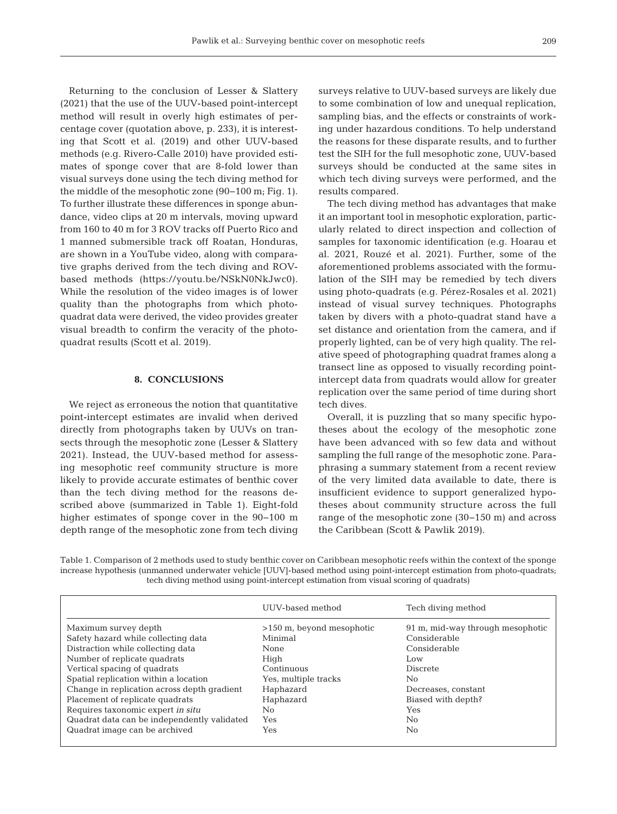Returning to the conclusion of Lesser & Slattery (2021) that the use of the UUV-based point-intercept method will result in overly high estimates of percentage cover (quotation above, p. 233), it is interesting that Scott et al. (2019) and other UUV-based methods (e.g. Rivero-Calle 2010) have provided estimates of sponge cover that are 8-fold lower than visual surveys done using the tech diving method for the middle of the mesophotic zone (90−100 m; Fig. 1). To further illustrate these differences in sponge abundance, video clips at 20 m intervals, moving upward from 160 to 40 m for 3 ROV tracks off Puerto Rico and 1 manned submersible track off Roatan, Honduras, are shown in a YouTube video, along with comparative graphs derived from the tech diving and ROVbased methods (https://youtu.be/NSkN0NkJwc0). While the resolution of the video images is of lower quality than the photographs from which photoquadrat data were derived, the video provides greater visual breadth to confirm the veracity of the photoquadrat results (Scott et al. 2019).

#### **8. CONCLUSIONS**

We reject as erroneous the notion that quantitative point-intercept estimates are invalid when derived directly from photographs taken by UUVs on transects through the mesophotic zone (Lesser & Slattery 2021). Instead, the UUV-based method for assessing mesophotic reef community structure is more likely to provide accurate estimates of benthic cover than the tech diving method for the reasons de scribed above (summarized in Table 1). Eight-fold higher estimates of sponge cover in the 90−100 m depth range of the mesophotic zone from tech diving surveys relative to UUV-based surveys are likely due to some combination of low and unequal replication, sampling bias, and the effects or constraints of working under hazardous conditions. To help understand the reasons for these disparate results, and to further test the SIH for the full mesophotic zone, UUV-based surveys should be conducted at the same sites in which tech diving surveys were performed, and the results compared.

The tech diving method has advantages that make it an important tool in mesophotic exploration, particularly related to direct inspection and collection of samples for taxonomic identification (e.g. Hoarau et al. 2021, Rouzé et al. 2021). Further, some of the aforementioned problems associated with the formulation of the SIH may be remedied by tech divers using photo-quadrats (e.g. Pérez-Rosales et al. 2021) instead of visual survey techniques. Photographs taken by divers with a photo-quadrat stand have a set distance and orientation from the camera, and if properly lighted, can be of very high quality. The relative speed of photographing quadrat frames along a transect line as opposed to visually recording pointintercept data from quadrats would allow for greater replication over the same period of time during short tech dives.

Overall, it is puzzling that so many specific hypotheses about the ecology of the mesophotic zone have been advanced with so few data and without sampling the full range of the mesophotic zone. Para phrasing a summary statement from a recent review of the very limited data available to date, there is insufficient evidence to support generalized hypotheses about community structure across the full range of the mesophotic zone (30−150 m) and across the Caribbean (Scott & Pawlik 2019).

Table 1. Comparison of 2 methods used to study benthic cover on Caribbean mesophotic reefs within the context of the sponge increase hypothesis (unmanned underwater vehicle [UUV]-based method using point-intercept estimation from photo-quadrats; tech diving method using point-intercept estimation from visual scoring of quadrats)

|                                             | UUV-based method            | Tech diving method               |
|---------------------------------------------|-----------------------------|----------------------------------|
| Maximum survey depth                        | $>150$ m, beyond mesophotic | 91 m, mid-way through mesophotic |
| Safety hazard while collecting data         | Minimal                     | Considerable                     |
| Distraction while collecting data           | None                        | Considerable                     |
| Number of replicate quadrats                | High                        | Low                              |
| Vertical spacing of quadrats                | Continuous                  | Discrete                         |
| Spatial replication within a location       | Yes, multiple tracks        | No.                              |
| Change in replication across depth gradient | Haphazard                   | Decreases, constant              |
| Placement of replicate quadrats             | Haphazard                   | Biased with depth?               |
| Requires taxonomic expert in situ           | No                          | Yes                              |
| Quadrat data can be independently validated | Yes                         | N <sub>0</sub>                   |
| Quadrat image can be archived               | Yes                         | No                               |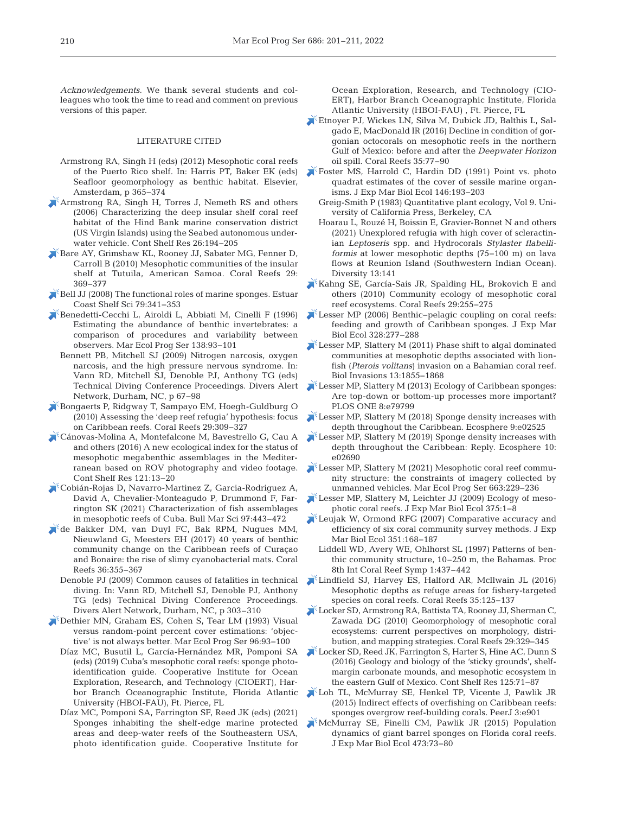*Acknowledgements.* We thank several students and colleagues who took the time to read and comment on previous versions of this paper.

#### LITERATURE CITED

- Armstrong RA, Singh H (eds) (2012) Mesophotic coral reefs of the Puerto Rico shelf. In: Harris PT, Baker EK (eds) Seafloor geomorphology as benthic habitat. Elsevier, Amsterdam, p 365−374
- [Armstrong RA, Singh H, Torres J, Nemeth RS and others](https://doi.org/10.1016/j.csr.2005.10.004)  (2006) Characterizing the deep insular shelf coral reef habitat of the Hind Bank marine conservation district (US Virgin Islands) using the Seabed autonomous underwater vehicle. Cont Shelf Res 26: 194−205
- [Bare AY, Grimshaw KL, Rooney JJ, Sabater MG, Fenner D,](https://doi.org/10.1007/s00338-010-0600-y)  Carroll B (2010) Mesophotic communities of the insular shelf at Tutuila, American Samoa. Coral Reefs 29: 369−377
- $\mathbb{R}^8$  Bell JJ (2008) The functional roles of marine sponges. Estuar Coast Shelf Sci 79: 341−353
- [Benedetti-Cecchi L, Airoldi L, Abbiati M, Cinelli F \(1996\)](https://doi.org/10.3354/meps138093)  Estimating the abundance of benthic invertebrates: a comparison of procedures and variability between observers. Mar Ecol Prog Ser 138: 93−101
	- Bennett PB, Mitchell SJ (2009) Nitrogen narcosis, oxygen narcosis, and the high pressure nervous syndrome. In: Vann RD, Mitchell SJ, Denoble PJ, Anthony TG (eds) Technical Diving Conference Proceedings. Divers Alert Network, Durham, NC, p 67−98
- [Bongaerts P, Ridgway T, Sampayo EM, Hoegh-Guldburg O](https://doi.org/10.1007/s00338-009-0581-x)  (2010) Assessing the 'deep reef refugia' hypothesis: focus on Caribbean reefs. Coral Reefs 29: 309−327
- [Cánovas-Molina A, Montefalcone M, Bavestrello G, Cau A](https://doi.org/10.1016/j.csr.2016.01.008)  and others (2016) A new ecological index for the status of mesophotic megabenthic assemblages in the Mediterranean based on ROV photography and video footage. Cont Shelf Res 121: 13−20
- [Cobián-Rojas D, Navarro-Martinez Z, Garcia-Rodriguez A,](https://doi.org/10.5343/bms.2020.0067)  David A, Chevalier-Monteagudo P, Drummond F, Farrington SK (2021) Characterization of fish assemblages in mesophotic reefs of Cuba. Bull Mar Sci 97: 443−472
- [de Bakker DM, van Duyl FC, Bak RPM, Nugues MM,](https://doi.org/10.1007/s00338-016-1534-9)  Nieuwland G, Meesters EH (2017) 40 years of benthic community change on the Caribbean reefs of Curaçao and Bonaire: the rise of slimy cyanobacterial mats. Coral Reefs 36:355-367
	- Denoble PJ (2009) Common causes of fatalities in technical diving. In: Vann RD, Mitchell SJ, Denoble PJ, Anthony TG (eds) Technical Diving Conference Proceedings. Divers Alert Network, Durham, NC, p 303–310
- [Dethier MN, Graham ES, Cohen S, Tear LM \(1993\) Visual](https://doi.org/10.3354/meps096093)  versus random-point percent cover estimations:'objective' is not always better. Mar Ecol Prog Ser 96:93-100
	- Díaz MC, Busutil L, García-Hernández MR, Pomponi SA (eds) (2019) Cuba's mesophotic coral reefs: sponge photoidentification guide. Cooperative Institute for Ocean Exploration, Research, and Technology (CIOERT), Harbor Branch Oceanographic Institute, Florida Atlantic University (HBOI-FAU), Ft. Pierce, FL
	- Díaz MC, Pomponi SA, Farrington SF, Reed JK (eds) (2021) Sponges inhabiting the shelf-edge marine protected areas and deep-water reefs of the Southeastern USA, photo identification guide. Cooperative Institute for

Ocean Exploration, Research, and Technology (CIO-ERT), Harbor Branch Oceanographic Institute, Florida Atlantic University (HBOI-FAU) , Ft. Pierce, FL

- [Etnoyer PJ, Wickes LN, Silva M, Dubick JD, Balthis L, Sal](https://doi.org/10.1007/s00338-015-1363-2)gado E, MacDonald IR (2016) Decline in condition of gorgonian octocorals on mesophotic reefs in the northern Gulf of Mexico:before and after the *Deepwater Horizon* oil spill. Coral Reefs 35: 77−90
- [Foster MS, Harrold C, Hardin DD \(1991\) Point vs. photo](https://doi.org/10.1016/0022-0981(91)90025-R)  quadrat estimates of the cover of sessile marine organisms. J Exp Mar Biol Ecol 146: 193−203
	- Greig-Smith P (1983) Quantitative plant ecology, Vol 9. University of California Press, Berkeley, CA
	- Hoarau L, Rouzé H, Boissin E, Gravier-Bonnet N and others (2021) Unexplored refugia with high cover of scleractinian *Leptoseris* spp. and Hydrocorals *Stylaster flabelliformis* at lower mesophotic depths (75−100 m) on lava flows at Reunion Island (Southwestern Indian Ocean). Diversity 13:141
- [Kahng SE, García-Sais JR, Spalding HL, Brokovich E and](https://doi.org/10.1007/s00338-010-0593-6)  others (2010) Community ecology of mesophotic coral reef ecosystems. Coral Reefs 29:255-275
- [Lesser MP \(2006\) Benthic−pelagic coupling on coral reefs:](https://doi.org/10.1016/j.jembe.2005.07.010)  feeding and growth of Caribbean sponges. J Exp Mar Biol Ecol 328: 277−288
- [Lesser MP, Slattery M \(2011\) Phase shift to algal dominated](https://doi.org/10.1007/s10530-011-0005-z)  communities at mesophotic depths associated with lionfish (*Pterois volitans*) invasion on a Bahamian coral reef. Biol Invasions 13: 1855−1868
- [Lesser MP, Slattery M \(2013\) Ecology of Caribbean sponges:](https://doi.org/10.1371/journal.pone.0079799)  Are top-down or bottom-up processes more important? PLOS ONE 8:e79799
- [Lesser MP, Slattery M \(2018\) Sponge density increases with](https://doi.org/10.1002/ecs2.2525)  depth throughout the Caribbean. Ecosphere 9:e02525
- Lesser MP, Slattery M (2019) Sponge density increases with depth throughout the Caribbean: Reply. Ecosphere 10: e02690
- [Lesser MP, Slattery M \(2021\) Mesophotic coral reef commu](https://doi.org/10.3354/meps13650)nity structure: the constraints of imagery collected by unmanned vehicles. Mar Ecol Prog Ser 663: 229−236
- [Lesser MP, Slattery M, Leichter JJ \(2009\) Ecology of meso](https://doi.org/10.1016/j.jembe.2009.05.009)  photic coral reefs. J Exp Mar Biol Ecol 375: 1−8
- [Leujak W, Ormond RFG \(2007\) Comparative accuracy and](https://doi.org/10.1016/j.jembe.2007.06.028)  efficiency of six coral community survey methods. J Exp Mar Biol Ecol 351: 168−187
- Liddell WD, Avery WE, Ohlhorst SL (1997) Patterns of benthic community structure, 10–250 m, the Bahamas. Proc 8th Int Coral Reef Symp 1:437–442
- [Lindfield SJ, Harvey ES, Halford AR, McIlwain JL \(2016\)](https://doi.org/10.1007/s00338-015-1386-8)  Mesophotic depths as refuge areas for fishery-targeted species on coral reefs. Coral Reefs 35: 125−137
- Locker SD, Armstrong RA, Battista TA, Rooney JJ, Sherman C, Zawada DG (2010) Geomorphology of mesophotic coral ecosystems: current perspectives on morphology, distribution, and mapping strategies. Coral Reefs 29: 329−345
- [Locker SD, Reed JK, Farrington S, Harter S, Hine AC, Dunn S](https://doi.org/10.1016/j.csr.2016.06.015)  (2016) Geology and biology of the 'sticky grounds', shelfmargin carbonate mounds, and mesophotic ecosystem in the eastern Gulf of Mexico. Cont Shelf Res 125: 71−87
- [Loh TL, McMurray SE, Henkel TP, Vicente J, Pawlik JR](https://doi.org/10.7717/peerj.901)  (2015) Indirect effects of overfishing on Caribbean reefs: sponges overgrow reef-building corals. PeerJ 3:e901
- [McMurray SE, Finelli CM, Pawlik JR \(2015\) Population](https://doi.org/10.1016/j.jembe.2015.08.007)  dynamics of giant barrel sponges on Florida coral reefs. J Exp Mar Biol Ecol 473: 73−80